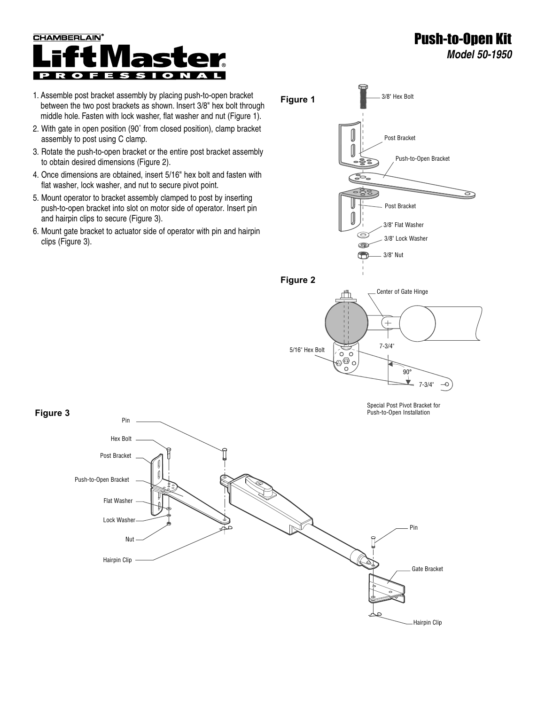

- 1. Assemble post bracket assembly by placing push-to-open bracket between the two post brackets as shown. Insert 3/8" hex bolt through middle hole. Fasten with lock washer, flat washer and nut (Figure 1).
- 2. With gate in open position (90˚ from closed position), clamp bracket assembly to post using C clamp.
- 3. Rotate the push-to-open bracket or the entire post bracket assembly to obtain desired dimensions (Figure 2).
- 4. Once dimensions are obtained, insert 5/16" hex bolt and fasten with flat washer, lock washer, and nut to secure pivot point.
- 5. Mount operator to bracket assembly clamped to post by inserting push-to-open bracket into slot on motor side of operator. Insert pin and hairpin clips to secure (Figure 3).
- 6. Mount gate bracket to actuator side of operator with pin and hairpin clips (Figure 3).



Push-to-Open Kit

*Model 50-1950*